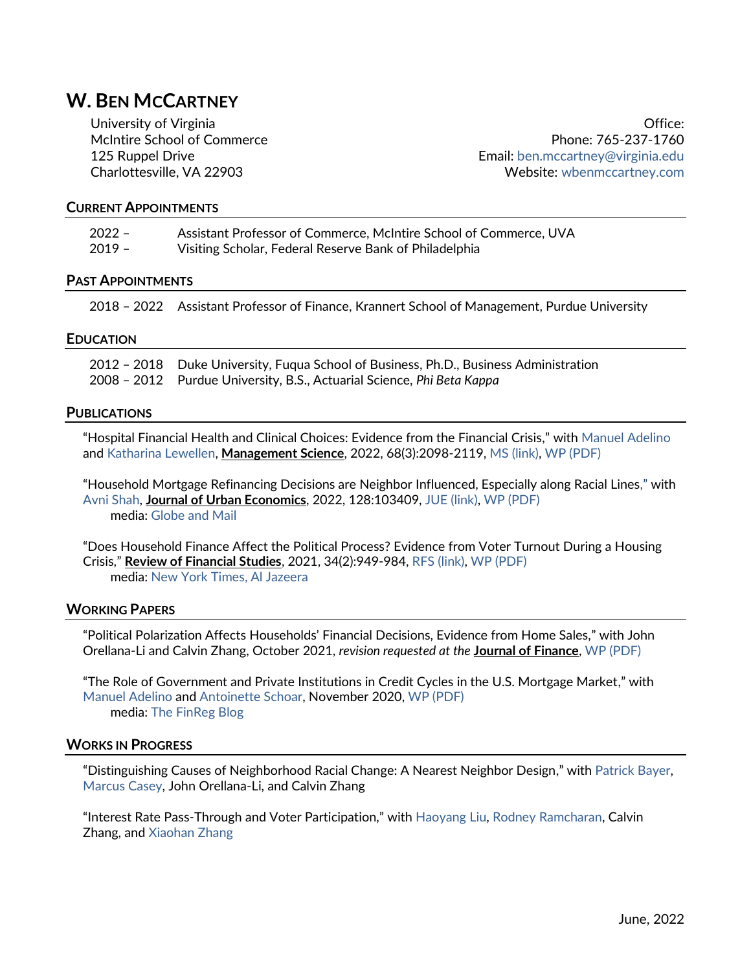# **W. BEN MCCARTNEY**

University of Virginia McIntire School of Commerce 125 Ruppel Drive Charlottesville, VA 22903

Office: Phone: 765-237-1760 Email: [ben.mccartney@virginia.edu](mailto:ben.mccartney@virginia.edu) Website: [wbenmccartney.com](http://wbenmccartney.com/)

#### **CURRENT APPOINTMENTS**

| $2022 -$ | Assistant Professor of Commerce, McIntire School of Commerce, UVA |
|----------|-------------------------------------------------------------------|
| $2019 -$ | Visiting Scholar, Federal Reserve Bank of Philadelphia            |

#### **PAST APPOINTMENTS**

2018 – 2022 Assistant Professor of Finance, Krannert School of Management, Purdue University

#### **EDUCATION**

| 2012 - 2018 Duke University, Fuqua School of Business, Ph.D., Business Administration |
|---------------------------------------------------------------------------------------|
| 2008 – 2012 Purdue University, B.S., Actuarial Science, Phi Beta Kappa                |

#### **PUBLICATIONS**

"Hospital Financial Health and Clinical Choices: Evidence from the Financial Crisis," with [Manuel Adelino](https://sites.google.com/view/manueladelino/) and [Katharina Lewellen,](http://faculty.tuck.dartmouth.edu/katharina-lewellen/) **Management Science**, 2022, 68(3):2098-2119, [MS \(link\),](https://pubsonline.informs.org/doi/abs/10.1287/mnsc.2020.3944) [WP \(PDF\)](https://wbenmccartney.files.wordpress.com/2021/03/alm-hospitals.pdf)

"Household Mortgage Refinancing Decisions are Neighbor Influenced, Especially along Racial Lines," with [Avni Shah,](http://www.avnimshah.com/) **Journal of Urban Economics**, 2022, 128:103409[, JUE \(link\),](https://www.sciencedirect.com/science/article/pii/S0094119021000917?via%3Dihub) WP [\(PDF\)](https://wbenmccartney.files.wordpress.com/2021/10/mccartney_shah_nbr_refis.pdf) media: [Globe and Mail](https://www.theglobeandmail.com/investing/personal-finance/household-finances/article-being-neighbourly-might-save-you-some-money-on-your-mortgage/)

"Does Household Finance Affect the Political Process? Evidence from Voter Turnout During a Housing Crisis," **Review of Financial Studies**, 2021, 34(2):949-984, [RFS \(link\),](https://academic.oup.com/rfs/article-abstract/34/2/949/5848015) [WP \(PDF\)](https://wbenmccartney.files.wordpress.com/2021/03/mccartney_voters_financial_distress.pdf) media: [New York Times,](https://www.nytimes.com/2020/04/15/opinion/coronavirus-trump-election.html) [Al Jazeera](https://www.aljazeera.com/economy/2020/10/9/us-elections-how-do-depression-anxiety-influence-voter-turnout)

#### **WORKING PAPERS**

"Political Polarization Affects Households' Financial Decisions, Evidence from Home Sales," with John Orellana-Li and Calvin Zhang, October 2021, *revision requested at the* **Journal of Finance**, [WP \(PDF\)](https://wbenmccartney.files.wordpress.com/2021/10/mccartney_orellanali_zhang_politics_house_sales.pdf)

"The Role of Government and Private Institutions in Credit Cycles in the U.S. Mortgage Market," with [Manuel Adelino](https://sites.google.com/view/manueladelino/) and [Antoinette Schoar,](https://mitmgmtfaculty.mit.edu/aschoar/) November 2020[, WP \(PDF\)](https://wbenmccartney.files.wordpress.com/2021/03/cltvs_ams.pdf) media: [The FinReg Blog](https://sites.law.duke.edu/thefinregblog/2020/12/28/the-role-of-government-and-private-institutions-in-credit-cycles-in-the-u-s-mortgage-market/)

#### **WORKS IN PROGRESS**

"Distinguishing Causes of Neighborhood Racial Change: A Nearest Neighbor Design," with [Patrick Bayer,](https://sites.duke.edu/patrickbayer/) [Marcus Casey,](https://sites.google.com/view/caseymd/home) John Orellana-Li, and Calvin Zhang

"Interest Rate Pass-Through and Voter Participation," with [Haoyang Liu,](https://liuhy.weebly.com/) [Rodney Ramcharan,](https://sites.google.com/site/rodneyramcharan/) Calvin Zhang, and [Xiaohan Zhang](https://sites.google.com/ucdavis.edu/xzhang/home)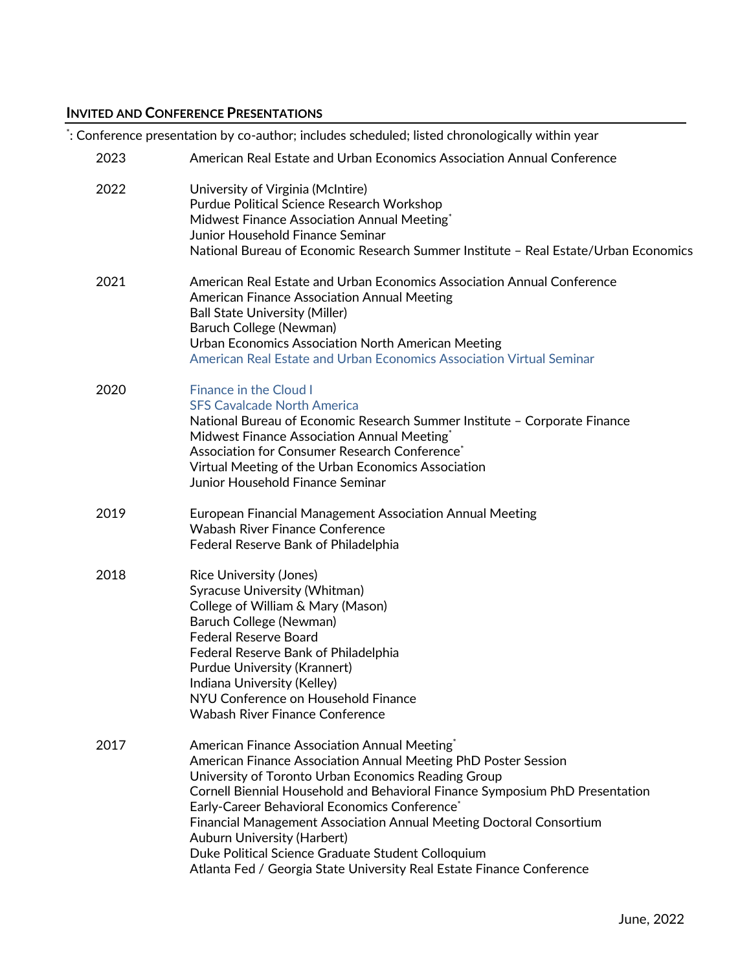# **INVITED AND CONFERENCE PRESENTATIONS**

\* : Conference presentation by co-author; includes scheduled; listed chronologically within year

| 2023 | American Real Estate and Urban Economics Association Annual Conference                                                                                                                                                                                                                                                                                                                                                                                                                                                                                                     |
|------|----------------------------------------------------------------------------------------------------------------------------------------------------------------------------------------------------------------------------------------------------------------------------------------------------------------------------------------------------------------------------------------------------------------------------------------------------------------------------------------------------------------------------------------------------------------------------|
| 2022 | University of Virginia (McIntire)<br>Purdue Political Science Research Workshop<br>Midwest Finance Association Annual Meeting*<br>Junior Household Finance Seminar<br>National Bureau of Economic Research Summer Institute - Real Estate/Urban Economics                                                                                                                                                                                                                                                                                                                  |
| 2021 | American Real Estate and Urban Economics Association Annual Conference<br><b>American Finance Association Annual Meeting</b><br><b>Ball State University (Miller)</b><br>Baruch College (Newman)<br>Urban Economics Association North American Meeting<br>American Real Estate and Urban Economics Association Virtual Seminar                                                                                                                                                                                                                                             |
| 2020 | <b>Finance in the Cloud I</b><br><b>SFS Cavalcade North America</b><br>National Bureau of Economic Research Summer Institute - Corporate Finance<br>Midwest Finance Association Annual Meeting*<br>Association for Consumer Research Conference <sup>*</sup><br>Virtual Meeting of the Urban Economics Association<br>Junior Household Finance Seminar                                                                                                                                                                                                                     |
| 2019 | European Financial Management Association Annual Meeting<br><b>Wabash River Finance Conference</b><br>Federal Reserve Bank of Philadelphia                                                                                                                                                                                                                                                                                                                                                                                                                                 |
| 2018 | <b>Rice University (Jones)</b><br>Syracuse University (Whitman)<br>College of William & Mary (Mason)<br>Baruch College (Newman)<br>Federal Reserve Board<br>Federal Reserve Bank of Philadelphia<br>Purdue University (Krannert)<br>Indiana University (Kelley)<br>NYU Conference on Household Finance<br><b>Wabash River Finance Conference</b>                                                                                                                                                                                                                           |
| 2017 | American Finance Association Annual Meeting <sup>*</sup><br>American Finance Association Annual Meeting PhD Poster Session<br>University of Toronto Urban Economics Reading Group<br>Cornell Biennial Household and Behavioral Finance Symposium PhD Presentation<br>Early-Career Behavioral Economics Conference <sup>*</sup><br>Financial Management Association Annual Meeting Doctoral Consortium<br><b>Auburn University (Harbert)</b><br>Duke Political Science Graduate Student Colloquium<br>Atlanta Fed / Georgia State University Real Estate Finance Conference |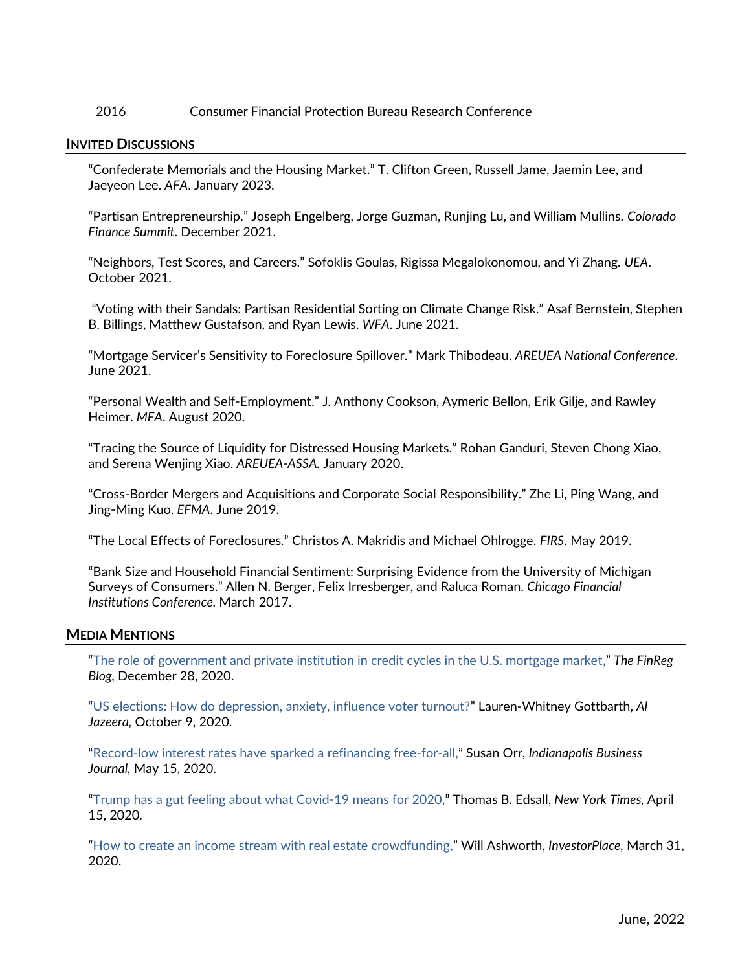# 2016 Consumer Financial Protection Bureau Research Conference

## **INVITED DISCUSSIONS**

"Confederate Memorials and the Housing Market." T. Clifton Green, Russell Jame, Jaemin Lee, and Jaeyeon Lee. *AFA*. January 2023.

"Partisan Entrepreneurship." Joseph Engelberg, Jorge Guzman, Runjing Lu, and William Mullins. *Colorado Finance Summit*. December 2021.

"Neighbors, Test Scores, and Careers." Sofoklis Goulas, Rigissa Megalokonomou, and Yi Zhang. *UEA*. October 2021.

"Voting with their Sandals: Partisan Residential Sorting on Climate Change Risk." Asaf Bernstein, Stephen B. Billings, Matthew Gustafson, and Ryan Lewis. *WFA*. June 2021.

"Mortgage Servicer's Sensitivity to Foreclosure Spillover." Mark Thibodeau. *AREUEA National Conference*. June 2021.

"Personal Wealth and Self-Employment." J. Anthony Cookson, Aymeric Bellon, Erik Gilje, and Rawley Heimer. *MFA*. August 2020.

"Tracing the Source of Liquidity for Distressed Housing Markets." Rohan Ganduri, Steven Chong Xiao, and Serena Wenjing Xiao. *AREUEA-ASSA.* January 2020.

"Cross-Border Mergers and Acquisitions and Corporate Social Responsibility." Zhe Li, Ping Wang, and Jing-Ming Kuo. *EFMA*. June 2019.

"The Local Effects of Foreclosures." Christos A. Makridis and Michael Ohlrogge. *FIRS*. May 2019.

"Bank Size and Household Financial Sentiment: Surprising Evidence from the University of Michigan Surveys of Consumers." Allen N. Berger, Felix Irresberger, and Raluca Roman. *Chicago Financial Institutions Conference.* March 2017.

#### **MEDIA MENTIONS**

"[The role of government and private institution in credit cycles in the U.S. mortgage market,](https://sites.law.duke.edu/thefinregblog/2020/12/28/the-role-of-government-and-private-institutions-in-credit-cycles-in-the-u-s-mortgage-market/)" *The FinReg Blog,* December 28, 2020.

"[US elections: How do depression, anxiety, influence voter turnout?](https://www.aljazeera.com/economy/2020/10/9/us-elections-how-do-depression-anxiety-influence-voter-turnout)" Lauren-Whitney Gottbarth, *Al Jazeera,* October 9, 2020.

"[Record-low interest rates have sparked a refinancing free-for-all,](https://www.ibj.com/articles/record-low-rates-spark-refinancing-free-for-all)" Susan Orr, *Indianapolis Business Journal,* May 15, 2020.

"[Trump has a gut feeling about what Covid-19 means for 2020,](https://www.nytimes.com/2020/04/15/opinion/coronavirus-trump-election.html)" Thomas B. Edsall, *New York Times,* April 15, 2020.

"[How to create an income stream with real estate crowdfunding,](https://investorplace.com/how-to-create-an-income-stream-real-estate-crowdfunding-privinv/)" Will Ashworth, *InvestorPlace,* March 31, 2020.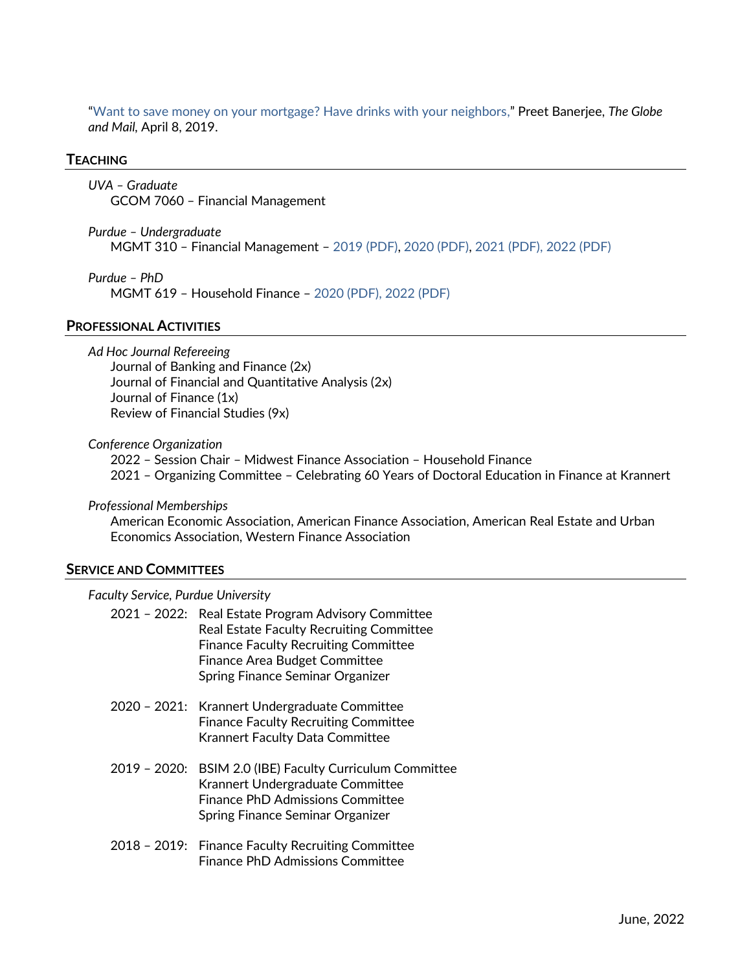"[Want to save money on your mortgage? Have drinks with your neighbors,](https://www.theglobeandmail.com/investing/personal-finance/household-finances/article-being-neighbourly-might-save-you-some-money-on-your-mortgage/)" Preet Banerjee, *The Globe and Mail,* April 8, 2019.

#### **TEACHING**

*UVA – Graduate* GCOM 7060 – Financial Management

*Purdue – Undergraduate*  MGMT 310 – Financial Management – [2019 \(PDF\),](https://wbenmccartney.files.wordpress.com/2021/05/mgmt310_syllabus_2019spr_03_04_05.pdf) [2020 \(PDF\),](https://wbenmccartney.files.wordpress.com/2021/05/mgmt310_syllabus_2020spr_03_04.pdf) [2021 \(PDF\),](https://wbenmccartney.files.wordpress.com/2021/05/mgmt310_syllabus_2021spr_01_02.pdf) [2022 \(PDF\)](https://wbenmccartney.files.wordpress.com/2022/03/mgmt310_syllabus_2022spr_01_02.pdf)

*Purdue – PhD*  MGMT 619 – Household Finance – [2020](https://wbenmccartney.files.wordpress.com/2021/05/mgmt619_hf_mccartney_syllabus.pdf) (PDF), [2022 \(PDF\)](https://wbenmccartney.files.wordpress.com/2022/03/mgmt619_hf_mccartney_syllabus.pdf)

#### **PROFESSIONAL ACTIVITIES**

*Ad Hoc Journal Refereeing*

Journal of Banking and Finance (2x) Journal of Financial and Quantitative Analysis (2x) Journal of Finance (1x) Review of Financial Studies (9x)

*Conference Organization*

2022 – Session Chair – Midwest Finance Association – Household Finance 2021 – Organizing Committee – Celebrating 60 Years of Doctoral Education in Finance at Krannert

*Professional Memberships*

American Economic Association, American Finance Association, American Real Estate and Urban Economics Association, Western Finance Association

#### **SERVICE AND COMMITTEES**

*Faculty Service, Purdue University* 

| 2021 - 2022: Real Estate Program Advisory Committee<br><b>Real Estate Faculty Recruiting Committee</b><br><b>Finance Faculty Recruiting Committee</b><br><b>Finance Area Budget Committee</b><br>Spring Finance Seminar Organizer |
|-----------------------------------------------------------------------------------------------------------------------------------------------------------------------------------------------------------------------------------|
| 2020 - 2021: Krannert Undergraduate Committee<br><b>Finance Faculty Recruiting Committee</b><br><b>Krannert Faculty Data Committee</b>                                                                                            |
| 2019 - 2020: BSIM 2.0 (IBE) Faculty Curriculum Committee<br>Krannert Undergraduate Committee<br><b>Finance PhD Admissions Committee</b><br>Spring Finance Seminar Organizer                                                       |

2018 – 2019: Finance Faculty Recruiting Committee Finance PhD Admissions Committee